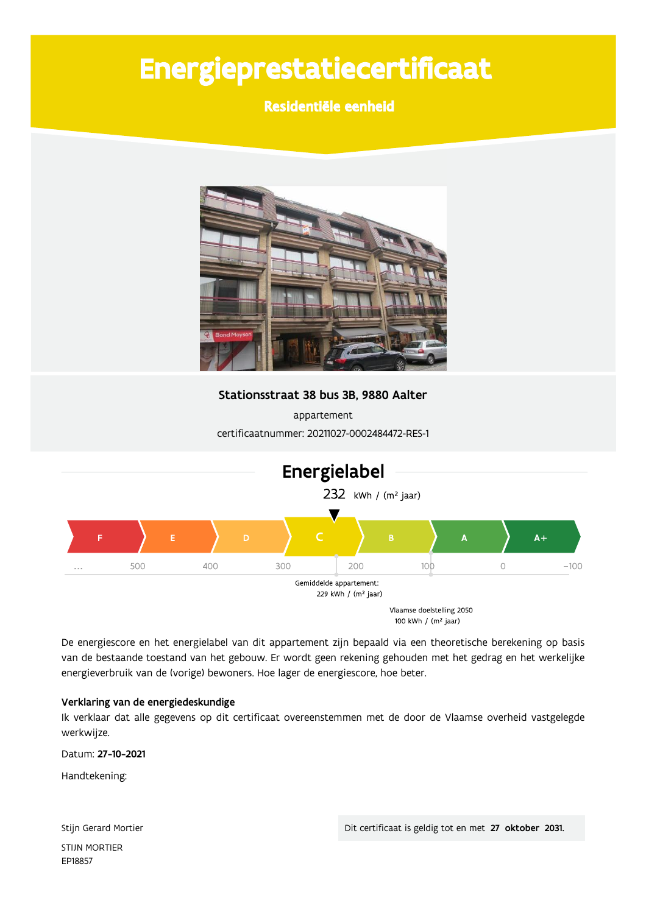# Energieprestatiecertificaat

## Residentiële eenheid



Stationsstraat 38 bus 3B, 9880 Aalter

appartement certificaatnummer: 20211027-0002484472-RES-1



De energiescore en het energielabel van dit appartement zijn bepaald via een theoretische berekening op basis van de bestaande toestand van het gebouw. Er wordt geen rekening gehouden met het gedrag en het werkelijke energieverbruik van de (vorige) bewoners. Hoe lager de energiescore, hoe beter.

#### Verklaring van de energiedeskundige

Ik verklaar dat alle gegevens op dit certificaat overeenstemmen met de door de Vlaamse overheid vastgelegde werkwijze.

Datum: 27-10-2021

Handtekening:

Stijn Gerard Mortier **STIJN MORTIER** EP18857

Dit certificaat is geldig tot en met 27 oktober 2031.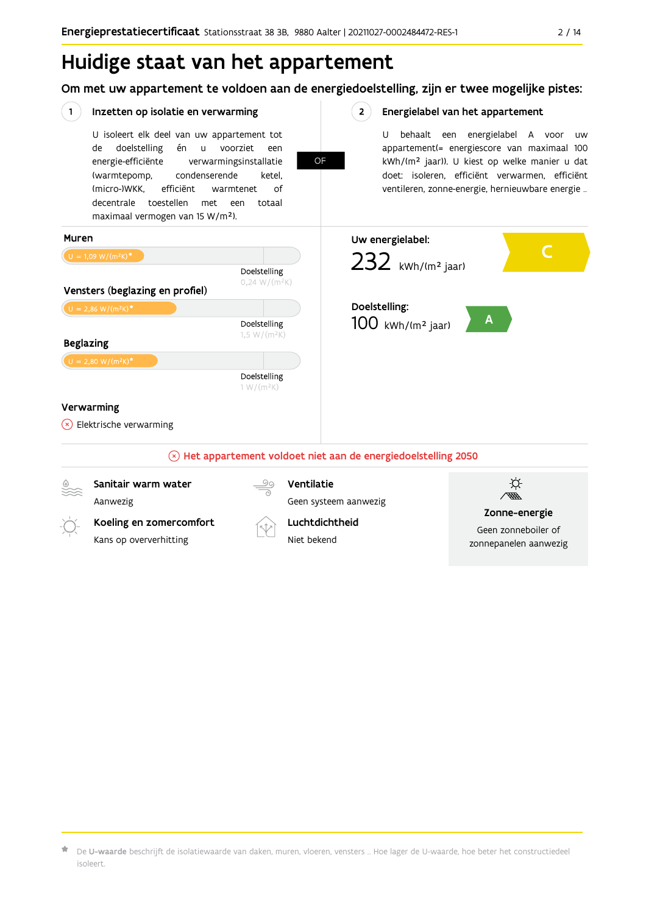# Huidige staat van het appartement

Om met uw appartement te voldoen aan de energiedoelstelling, zijn er twee mogelijke pistes:



 $\star$  De **U-waarde** beschrijft de isolatiewaarde van daken, muren, vloeren, vensters … Hoe lager de U-waarde, hoe beter het constructiedeel isoleert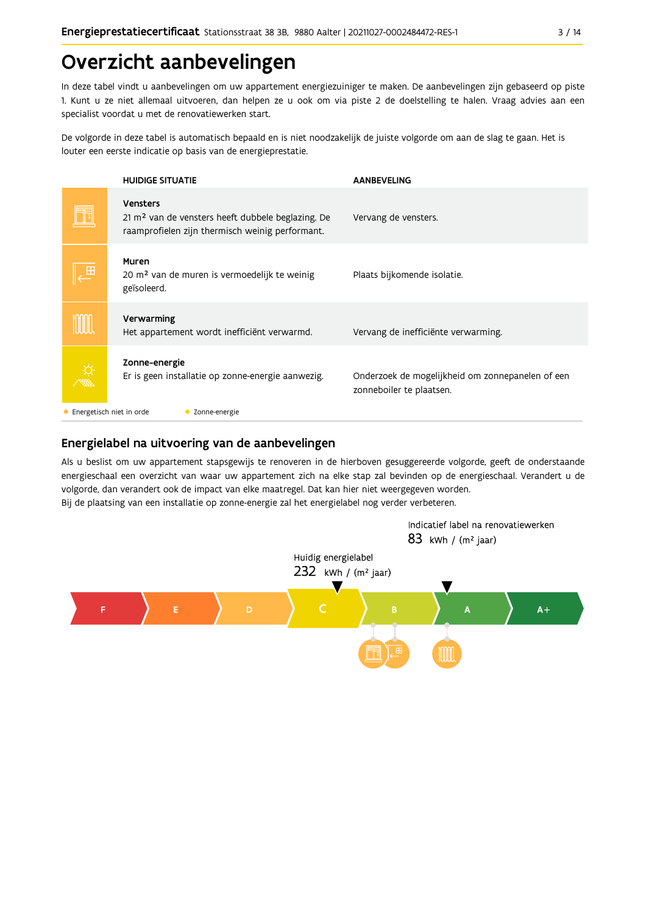# Overzicht aanbevelingen

In deze tabel vindt u aanbevelingen om uw appartement energiezuiniger te maken. De aanbevelingen zijn gebaseerd op piste 1. Kunt u ze niet allemaal uitvoeren, dan helpen ze u ook om via piste 2 de doelstelling te halen. Vraag advies aan een specialist voordat u met de renovatiewerken start.

De volgorde in deze tabel is automatisch bepaald en is niet noodzakelijk de juiste volgorde om aan de slag te gaan. Het is louter een eerste indicatie op basis van de energieprestatie.

| <b>HUIDIGE SITUATIE</b>                                                                                                             | <b>AANBEVELING</b>                                                           |  |  |  |
|-------------------------------------------------------------------------------------------------------------------------------------|------------------------------------------------------------------------------|--|--|--|
| <b>Vensters</b><br>21 m <sup>2</sup> van de vensters heeft dubbele beglazing. De<br>raamprofielen zijn thermisch weinig performant. | Vervang de vensters.                                                         |  |  |  |
| Muren<br>20 m <sup>2</sup> van de muren is vermoedelijk te weinig<br>geïsoleerd.                                                    | Plaats bijkomende isolatie.                                                  |  |  |  |
| Verwarming<br>Het appartement wordt inefficiënt verwarmd.                                                                           | Vervang de inefficiënte verwarming.                                          |  |  |  |
| Zonne-energie<br>Er is geen installatie op zonne-energie aanwezig.                                                                  | Onderzoek de mogelijkheid om zonnepanelen of een<br>zonneboiler te plaatsen. |  |  |  |
| Energetisch niet in orde<br>Zonne-energie                                                                                           |                                                                              |  |  |  |

## Energielabel na uitvoering van de aanbevelingen

Als u beslist om uw appartement stapsgewijs te renoveren in de hierboven gesuggereerde volgorde, geeft de onderstaande energieschaal een overzicht van waar uw appartement zich na elke stap zal bevinden op de energieschaal. Verandert u de volgorde, dan verandert ook de impact van elke maatregel. Dat kan hier niet weergegeven worden. Bij de plaatsing van een installatie op zonne-energie zal het energielabel nog verder verbeteren.

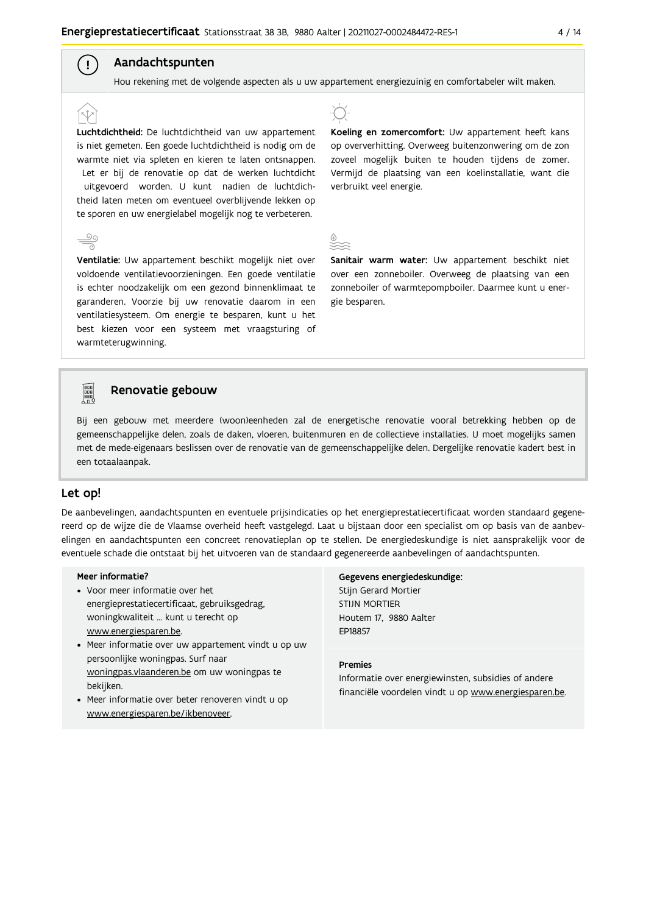#### Aandachtspunten  $\left( \begin{array}{c} 1 \end{array} \right)$

Hou rekening met de volgende aspecten als u uw appartement energiezuinig en comfortabeler wilt maken.

Luchtdichtheid: De luchtdichtheid van uw appartement is niet gemeten. Een goede luchtdichtheid is nodig om de warmte niet via spleten en kieren te laten ontsnappen. Let er bij de renovatie op dat de werken luchtdicht uitgevoerd worden. U kunt nadien de luchtdichtheid laten meten om eventueel overblijvende lekken op te sporen en uw energielabel mogelijk nog te verbeteren.

Ventilatie: Uw appartement beschikt mogelijk niet over voldoende ventilatievoorzieningen. Een goede ventilatie is echter noodzakelijk om een gezond binnenklimaat te garanderen. Voorzie bij uw renovatie daarom in een ventilatiesysteem. Om energie te besparen, kunt u het best kiezen voor een systeem met vraagsturing of warmteterugwinning.



Koeling en zomercomfort: Uw appartement heeft kans op oververhitting. Overweeg buitenzonwering om de zon zoveel mogelijk buiten te houden tijdens de zomer. Vermijd de plaatsing van een koelinstallatie, want die verbruikt veel energie.

Sanitair warm water: Uw appartement beschikt niet over een zonneboiler. Overweeg de plaatsing van een zonneboiler of warmtepompboiler. Daarmee kunt u energie besparen.



#### Renovatie gebouw

Bij een gebouw met meerdere (woon)eenheden zal de energetische renovatie vooral betrekking hebben op de gemeenschappelijke delen, zoals de daken, vloeren, buitenmuren en de collectieve installaties. U moet mogelijks samen met de mede-eigenaars beslissen over de renovatie van de gemeenschappelijke delen. Dergelijke renovatie kadert best in een totaalaanpak.

#### Let op!

De aanbevelingen, aandachtspunten en eventuele prijsindicaties op het energieprestatiecertificaat worden standaard gegenereerd op de wijze die de Vlaamse overheid heeft vastgelegd. Laat u bijstaan door een specialist om op basis van de aanbevelingen en aandachtspunten een concreet renovatieplan op te stellen. De energiedeskundige is niet aansprakelijk voor de eventuele schade die ontstaat bij het uitvoeren van de standaard gegenereerde aanbevelingen of aandachtspunten.

#### Meer informatie?

- Voor meer informatie over het energieprestatiecertificaat, gebruiksgedrag, woningkwaliteit ... kunt u terecht op www.energiesparen.be.
- Meer informatie over uw appartement vindt u op uw persoonlijke woningpas. Surf naar woningpas.vlaanderen.be om uw woningpas te bekijken.
- Meer informatie over beter renoveren vindt u op www.energiesparen.be/ikbenoveer.

Gegevens energiedeskundige: Stijn Gerard Mortier **STIJN MORTIER** Houtem 17, 9880 Aalter EP18857

#### **Premies**

Informatie over energiewinsten, subsidies of andere financiële voordelen vindt u op www.energiesparen.be.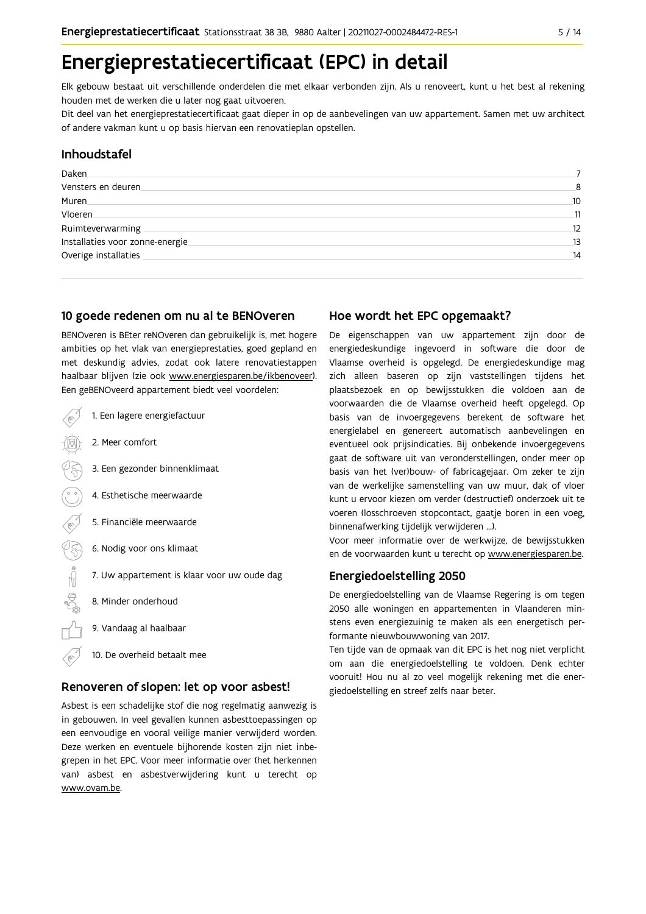# Energieprestatiecertificaat (EPC) in detail

Elk gebouw bestaat uit verschillende onderdelen die met elkaar verbonden zijn. Als u renoveert, kunt u het best al rekening houden met de werken die u later nog gaat uitvoeren.

Dit deel van het energieprestatiecertificaat gaat dieper in op de aanbevelingen van uw appartement. Samen met uw architect of andere vakman kunt u op basis hiervan een renovatieplan opstellen.

#### Inhoudstafel

| Daken                            |    |
|----------------------------------|----|
| Vensters en deuren               | 8  |
| Muren.                           | 10 |
| Vloeren                          | 11 |
| Ruimteverwarming                 | 12 |
| Installaties voor zonne-energie. | 13 |
| Overige installaties             | 14 |
|                                  |    |

#### 10 goede redenen om nu al te BENOveren

BENOveren is BEter reNOveren dan gebruikelijk is, met hogere ambities op het vlak van energieprestaties, goed gepland en met deskundig advies, zodat ook latere renovatiestappen haalbaar blijven (zie ook www.energiesparen.be/ikbenoveer). Een geBENOveerd appartement biedt veel voordelen:



#### Renoveren of slopen: let op voor asbest!

Asbest is een schadelijke stof die nog regelmatig aanwezig is in gebouwen. In veel gevallen kunnen asbesttoepassingen op een eenvoudige en vooral veilige manier verwijderd worden. Deze werken en eventuele bijhorende kosten zijn niet inbegrepen in het EPC. Voor meer informatie over (het herkennen van) asbest en asbestverwijdering kunt u terecht op www.ovam.be.

#### Hoe wordt het EPC opgemaakt?

De eigenschappen van uw appartement zijn door de energiedeskundige ingevoerd in software die door de Vlaamse overheid is opgelegd. De energiedeskundige mag zich alleen baseren op zijn vaststellingen tijdens het plaatsbezoek en op bewijsstukken die voldoen aan de voorwaarden die de Vlaamse overheid heeft opgelegd. Op basis van de invoergegevens berekent de software het energielabel en genereert automatisch aanbevelingen en eventueel ook prijsindicaties. Bij onbekende invoergegevens gaat de software uit van veronderstellingen, onder meer op basis van het (ver)bouw- of fabricagejaar. Om zeker te zijn van de werkelijke samenstelling van uw muur, dak of vloer kunt u ervoor kiezen om verder (destructief) onderzoek uit te voeren (losschroeven stopcontact, gaatje boren in een voeg, binnenafwerking tijdelijk verwijderen ...).

Voor meer informatie over de werkwijze, de bewijsstukken en de voorwaarden kunt u terecht op www.energiesparen.be.

#### Energiedoelstelling 2050

De energiedoelstelling van de Vlaamse Regering is om tegen 2050 alle woningen en appartementen in Vlaanderen minstens even energiezuinig te maken als een energetisch performante nieuwbouwwoning van 2017.

Ten tijde van de opmaak van dit EPC is het nog niet verplicht om aan die energiedoelstelling te voldoen. Denk echter vooruit! Hou nu al zo veel mogelijk rekening met die energiedoelstelling en streef zelfs naar beter.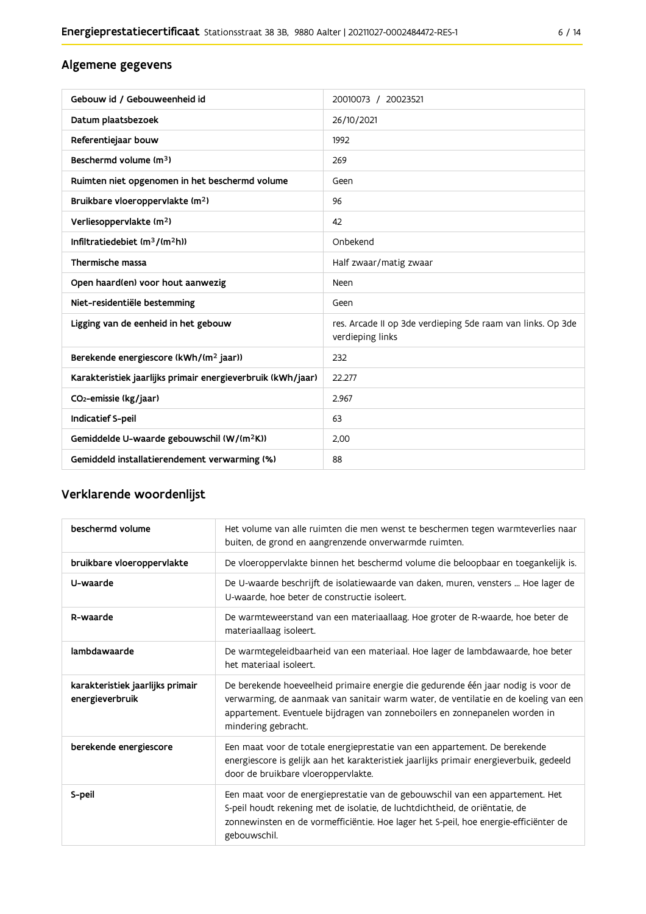## Algemene gegevens

| Gebouw id / Gebouweenheid id                                | 20010073 / 20023521                                                             |
|-------------------------------------------------------------|---------------------------------------------------------------------------------|
| Datum plaatsbezoek                                          | 26/10/2021                                                                      |
| Referentiejaar bouw                                         | 1992                                                                            |
| Beschermd volume (m <sup>3</sup> )                          | 269                                                                             |
| Ruimten niet opgenomen in het beschermd volume              | Geen                                                                            |
| Bruikbare vloeroppervlakte (m <sup>2</sup> )                | 96                                                                              |
| Verliesoppervlakte (m <sup>2</sup> )                        | 42                                                                              |
| Infiltratiedebiet $(m^3/(m^2h))$                            | Onbekend                                                                        |
| Thermische massa                                            | Half zwaar/matig zwaar                                                          |
| Open haard(en) voor hout aanwezig                           | Neen                                                                            |
| Niet-residentiële bestemming                                | Geen                                                                            |
| Ligging van de eenheid in het gebouw                        | res. Arcade II op 3de verdieping 5de raam van links. Op 3de<br>verdieping links |
| Berekende energiescore (kWh/(m <sup>2</sup> jaar))          | 232                                                                             |
| Karakteristiek jaarlijks primair energieverbruik (kWh/jaar) | 22.277                                                                          |
| CO2-emissie (kg/jaar)                                       | 2.967                                                                           |
| Indicatief S-peil                                           | 63                                                                              |
| Gemiddelde U-waarde gebouwschil (W/(m <sup>2</sup> K))      | 2,00                                                                            |
| Gemiddeld installatierendement verwarming (%)               | 88                                                                              |

## Verklarende woordenlijst

| beschermd volume                                    | Het volume van alle ruimten die men wenst te beschermen tegen warmteverlies naar<br>buiten, de grond en aangrenzende onverwarmde ruimten.                                                                                                                                      |  |
|-----------------------------------------------------|--------------------------------------------------------------------------------------------------------------------------------------------------------------------------------------------------------------------------------------------------------------------------------|--|
| bruikbare vloeroppervlakte                          | De vloeroppervlakte binnen het beschermd volume die beloopbaar en toegankelijk is.                                                                                                                                                                                             |  |
| U-waarde                                            | De U-waarde beschrijft de isolatiewaarde van daken, muren, vensters  Hoe lager de<br>U-waarde, hoe beter de constructie isoleert.                                                                                                                                              |  |
| R-waarde                                            | De warmteweerstand van een materiaallaag. Hoe groter de R-waarde, hoe beter de<br>materiaallaag isoleert.                                                                                                                                                                      |  |
| lambdawaarde                                        | De warmtegeleidbaarheid van een materiaal. Hoe lager de lambdawaarde, hoe beter<br>het materiaal isoleert.                                                                                                                                                                     |  |
| karakteristiek jaarlijks primair<br>energieverbruik | De berekende hoeveelheid primaire energie die gedurende één jaar nodig is voor de<br>verwarming, de aanmaak van sanitair warm water, de ventilatie en de koeling van een<br>appartement. Eventuele bijdragen van zonneboilers en zonnepanelen worden in<br>mindering gebracht. |  |
| berekende energiescore                              | Een maat voor de totale energieprestatie van een appartement. De berekende<br>energiescore is gelijk aan het karakteristiek jaarlijks primair energieverbuik, gedeeld<br>door de bruikbare vloeroppervlakte.                                                                   |  |
| S-peil                                              | Een maat voor de energieprestatie van de gebouwschil van een appartement. Het<br>S-peil houdt rekening met de isolatie, de luchtdichtheid, de oriëntatie, de<br>zonnewinsten en de vormefficiëntie. Hoe lager het S-peil, hoe energie-efficiënter de<br>gebouwschil.           |  |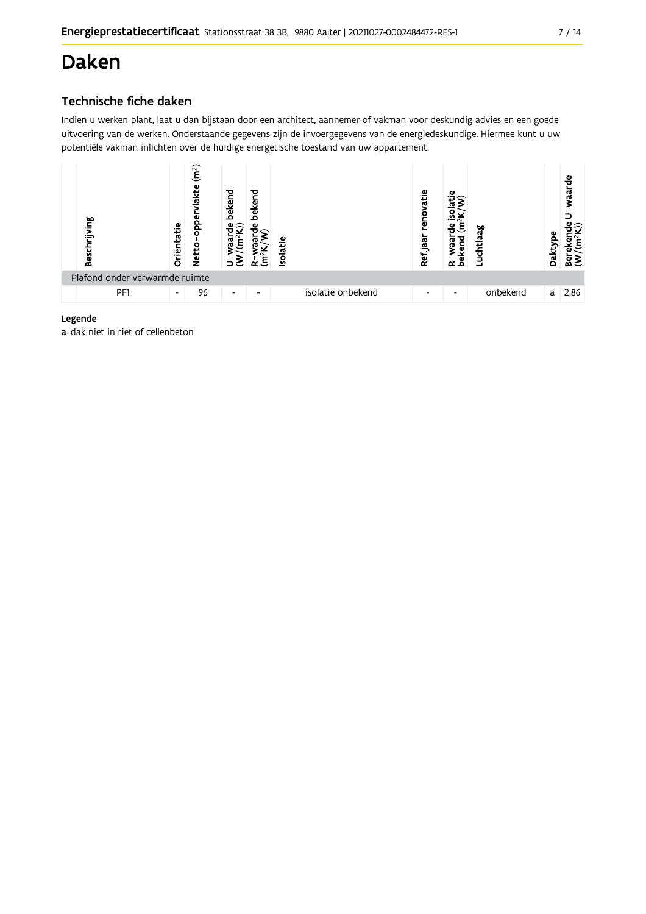# **Daken**

## Technische fiche daken

Indien u werken plant, laat u dan bijstaan door een architect, aannemer of vakman voor deskundig advies en een goede uitvoering van de werken. Onderstaande gegevens zijn de invoergegevens van de energiedeskundige. Hiermee kunt u uw potentiële vakman inlichten over de huidige energetische toestand van uw appartement.



#### Legende

a dak niet in riet of cellenbeton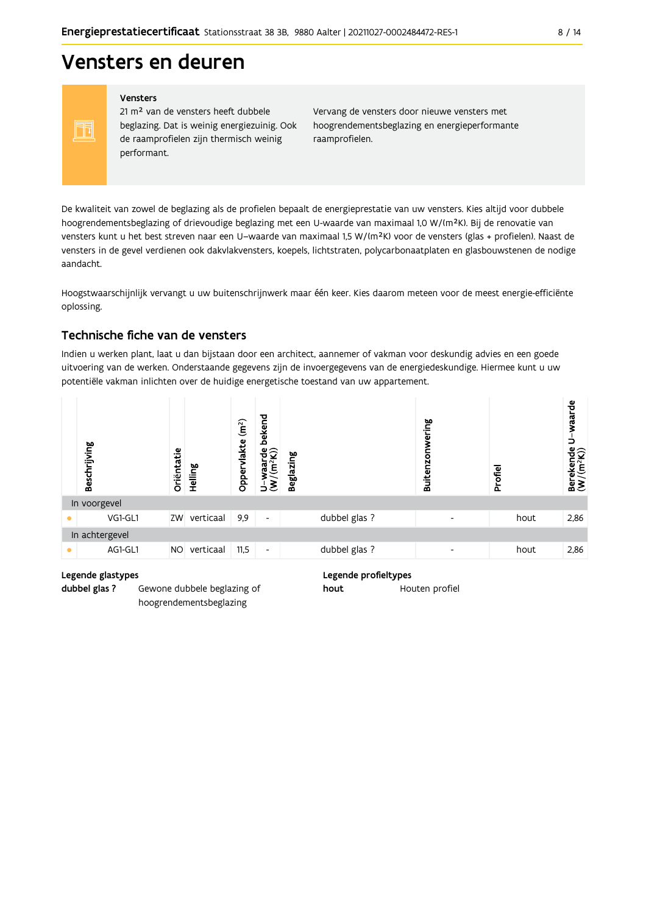# Vensters en deuren

#### Vensters

FF

21 m<sup>2</sup> van de vensters heeft dubbele beglazing. Dat is weinig energiezuinig. Ook de raamprofielen zijn thermisch weinig performant.

Vervang de vensters door nieuwe vensters met hoogrendementsbeglazing en energieperformante raamprofielen.

De kwaliteit van zowel de beglazing als de profielen bepaalt de energieprestatie van uw vensters. Kies altijd voor dubbele hoogrendementsbeglazing of drievoudige beglazing met een U-waarde van maximaal 1,0 W/(m<sup>2</sup>K). Bij de renovatie van vensters kunt u het best streven naar een U-waarde van maximaal 1,5 W/(m<sup>2</sup>K) voor de vensters (glas + profielen). Naast de vensters in de gevel verdienen ook dakvlakvensters, koepels, lichtstraten, polycarbonaatplaten en glasbouwstenen de nodige aandacht.

Hoogstwaarschijnlijk vervangt u uw buitenschrijnwerk maar één keer. Kies daarom meteen voor de meest energie-efficiënte oplossing.

#### Technische fiche van de vensters

Indien u werken plant, laat u dan bijstaan door een architect, aannemer of vakman voor deskundig advies en een goede uitvoering van de werken. Onderstaande gegevens zijn de invoergegevens van de energiedeskundige. Hiermee kunt u uw potentiële vakman inlichten over de huidige energetische toestand van uw appartement.



#### Legende glastypes

dubbel glas ? Gewone dubbele beglazing of hoogrendementsbeglazing

#### Legende profieltypes

hout Houten profiel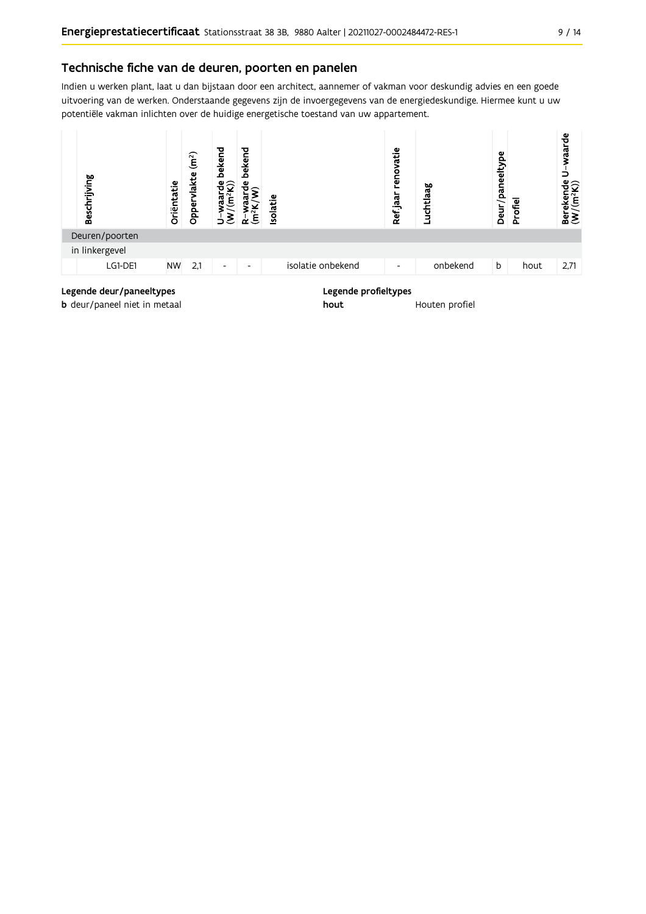#### Technische fiche van de deuren, poorten en panelen

Indien u werken plant, laat u dan bijstaan door een architect, aannemer of vakman voor deskundig advies en een goede uitvoering van de werken. Onderstaande gegevens zijn de invoergegevens van de energiedeskundige. Hiermee kunt u uw potentiële vakman inlichten over de huidige energetische toestand van uw appartement.



**b** deur/paneel niet in metaal

Houten profiel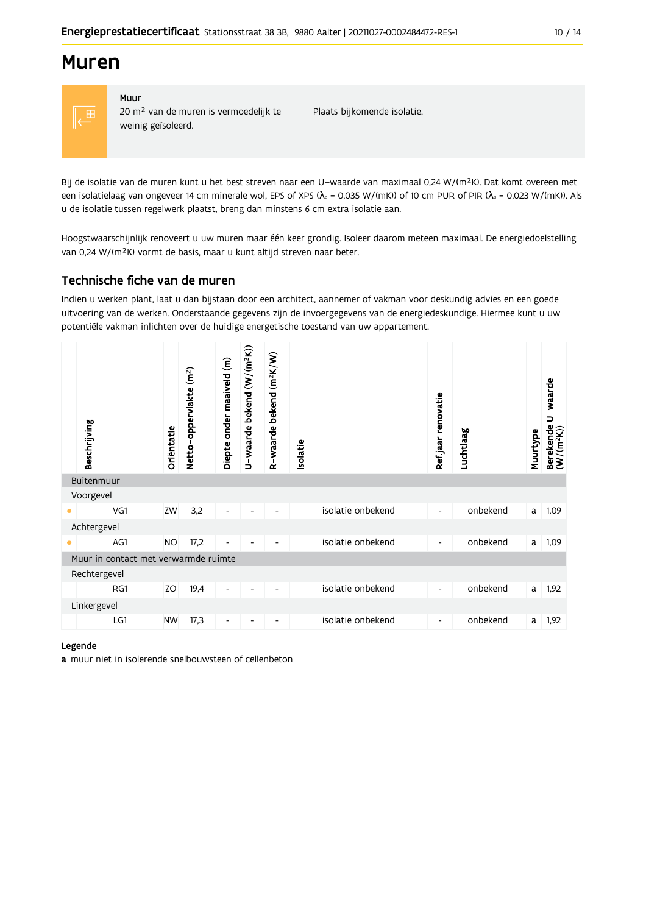## **Muren**



#### Muur 20 m<sup>2</sup> van de muren is vermoedelijk te weinig geïsoleerd.

Plaats bijkomende isolatie.

Bij de isolatie van de muren kunt u het best streven naar een U-waarde van maximaal 0,24 W/(m<sup>2</sup>K). Dat komt overeen met een isolatielaag van ongeveer 14 cm minerale wol, EPS of XPS ( $\lambda$ <sub>d</sub> = 0,035 W/(mK)) of 10 cm PUR of PIR ( $\lambda$ <sub>d</sub> = 0,023 W/(mK)). Als u de isolatie tussen regelwerk plaatst, breng dan minstens 6 cm extra isolatie aan.

Hoogstwaarschijnlijk renoveert u uw muren maar één keer grondig. Isoleer daarom meteen maximaal. De energiedoelstelling van 0,24 W/(m<sup>2</sup>K) vormt de basis, maar u kunt altijd streven naar beter.

## Technische fiche van de muren

Indien u werken plant, laat u dan bijstaan door een architect, aannemer of vakman voor deskundig advies en een goede uitvoering van de werken. Onderstaande gegevens zijn de invoergegevens van de energiedeskundige. Hiermee kunt u uw potentiële vakman inlichten over de huidige energetische toestand van uw appartement.

|           | Beschrijving                         | Oriëntatie | Netto-oppervlakte (m <sup>2</sup> ) | Diepte onder maaiveld (m) | U-waarde bekend $(W/(m^2K))$ | $(m^2K/W)$<br>bekend<br>waarde<br>$\alpha$ | solatie |                   | Ref.jaar renovatie       | Luchtlaag | Muurtype | U-waarde<br>Berekende<br>$(W/(m^2K))$ |
|-----------|--------------------------------------|------------|-------------------------------------|---------------------------|------------------------------|--------------------------------------------|---------|-------------------|--------------------------|-----------|----------|---------------------------------------|
|           | Buitenmuur                           |            |                                     |                           |                              |                                            |         |                   |                          |           |          |                                       |
|           | Voorgevel                            |            |                                     |                           |                              |                                            |         |                   |                          |           |          |                                       |
| $\bullet$ | VG1                                  | ZW         | 3,2                                 | $\overline{\phantom{a}}$  |                              |                                            |         | isolatie onbekend | $\overline{\phantom{a}}$ | onbekend  | a        | 1,09                                  |
|           | Achtergevel                          |            |                                     |                           |                              |                                            |         |                   |                          |           |          |                                       |
| ٠         | AG1                                  | <b>NO</b>  | 17,2                                |                           |                              |                                            |         | isolatie onbekend | -                        | onbekend  | a        | 1,09                                  |
|           | Muur in contact met verwarmde ruimte |            |                                     |                           |                              |                                            |         |                   |                          |           |          |                                       |
|           | Rechtergevel                         |            |                                     |                           |                              |                                            |         |                   |                          |           |          |                                       |
|           | RG1                                  | ZO         | 19,4                                | $\overline{\phantom{a}}$  |                              |                                            |         | isolatie onbekend | $\overline{\phantom{a}}$ | onbekend  | a        | 1,92                                  |
|           | Linkergevel                          |            |                                     |                           |                              |                                            |         |                   |                          |           |          |                                       |
|           | LG1                                  | <b>NW</b>  | 17,3                                | $\overline{\phantom{a}}$  |                              |                                            |         | isolatie onbekend | $\overline{\phantom{a}}$ | onbekend  | a        | 1,92                                  |

#### Legende

a muur niet in isolerende snelbouwsteen of cellenbeton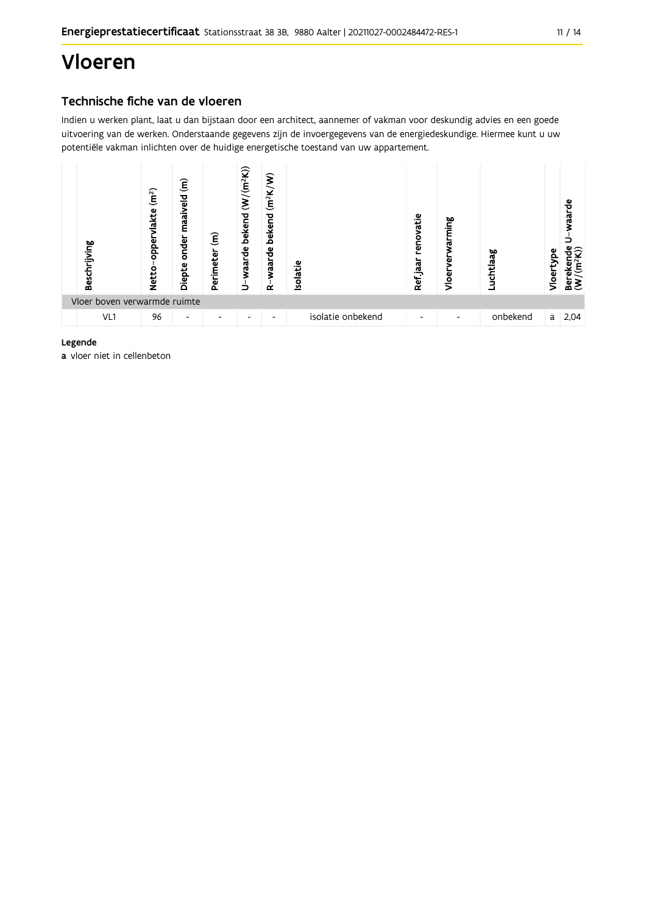# Vloeren

## Technische fiche van de vloeren

Indien u werken plant, laat u dan bijstaan door een architect, aannemer of vakman voor deskundig advies en een goede uitvoering van de werken. Onderstaande gegevens zijn de invoergegevens van de energiedeskundige. Hiermee kunt u uw potentiële vakman inlichten over de huidige energetische toestand van uw appartement.



#### Legende

a vloer niet in cellenbeton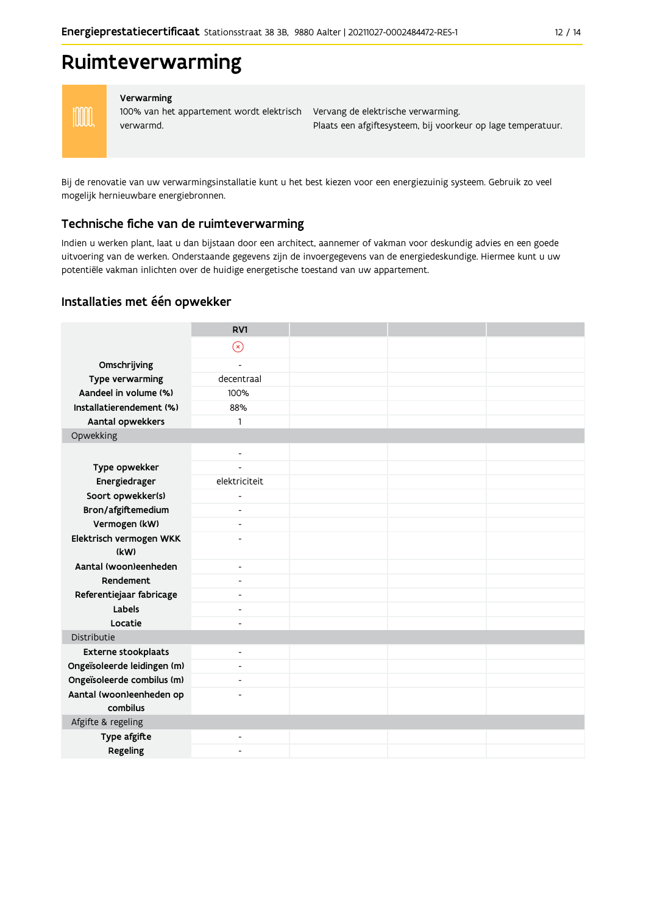## Ruimteverwarming



#### Verwarming

100% van het appartement wordt elektrisch Vervang de elektrische verwarming. verwarmd.

Plaats een afgiftesysteem, bij voorkeur op lage temperatuur.

Bij de renovatie van uw verwarmingsinstallatie kunt u het best kiezen voor een energiezuinig systeem. Gebruik zo veel mogelijk hernieuwbare energiebronnen.

#### Technische fiche van de ruimteverwarming

Indien u werken plant, laat u dan bijstaan door een architect, aannemer of vakman voor deskundig advies en een goede uitvoering van de werken. Onderstaande gegevens zijn de invoergegevens van de energiedeskundige. Hiermee kunt u uw potentiële vakman inlichten over de huidige energetische toestand van uw appartement.

#### Installaties met één opwekker

|                                      | RV1                      |  |  |
|--------------------------------------|--------------------------|--|--|
|                                      | $\circledR$              |  |  |
| Omschrijving                         | $\overline{a}$           |  |  |
| Type verwarming                      | decentraal               |  |  |
| Aandeel in volume (%)                | 100%                     |  |  |
| Installatierendement (%)             | 88%                      |  |  |
| Aantal opwekkers                     | 1                        |  |  |
| Opwekking                            |                          |  |  |
|                                      | $\overline{\phantom{a}}$ |  |  |
| Type opwekker                        |                          |  |  |
| Energiedrager                        | elektriciteit            |  |  |
| Soort opwekker(s)                    | ٠                        |  |  |
| Bron/afgiftemedium                   | $\overline{\phantom{a}}$ |  |  |
| Vermogen (kW)                        | $\blacksquare$           |  |  |
| Elektrisch vermogen WKK              |                          |  |  |
| (kW)                                 |                          |  |  |
| Aantal (woon)eenheden                | $\blacksquare$           |  |  |
| Rendement                            | ٠                        |  |  |
| Referentiejaar fabricage             | $\overline{\phantom{a}}$ |  |  |
| Labels                               | ٠                        |  |  |
| Locatie                              | $\overline{\phantom{a}}$ |  |  |
| Distributie                          |                          |  |  |
| <b>Externe stookplaats</b>           | $\overline{\phantom{a}}$ |  |  |
| Ongeïsoleerde leidingen (m)          | ٠                        |  |  |
| Ongeïsoleerde combilus (m)           | $\blacksquare$           |  |  |
| Aantal (woon)eenheden op<br>combilus |                          |  |  |
| Afgifte & regeling                   |                          |  |  |
| Type afgifte                         | $\overline{\phantom{a}}$ |  |  |
| Regeling                             |                          |  |  |
|                                      |                          |  |  |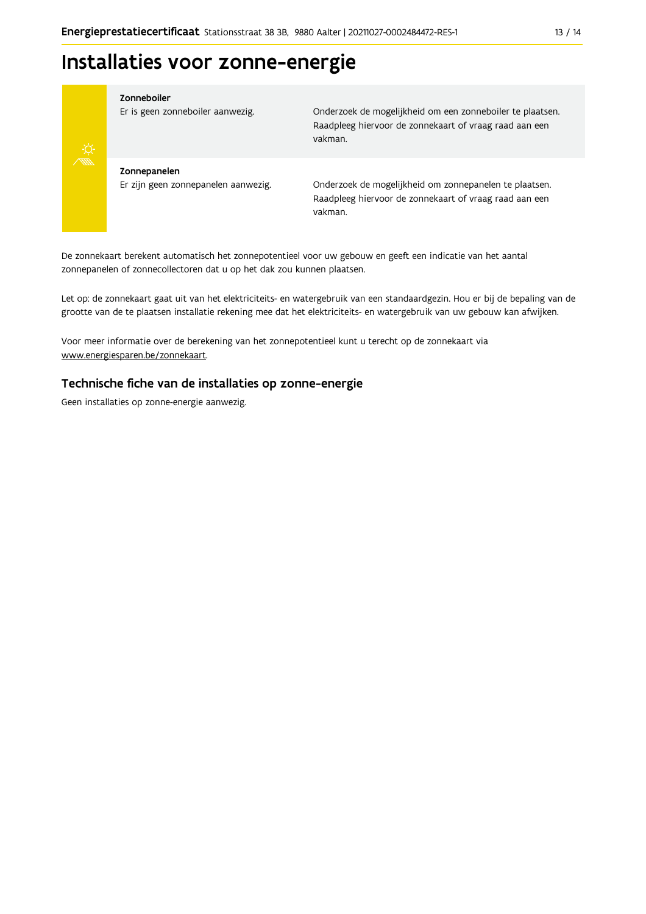# Installaties voor zonne-energie



#### Zonneboiler

Er is geen zonneboiler aanwezig.

Onderzoek de mogelijkheid om een zonneboiler te plaatsen. Raadpleeg hiervoor de zonnekaart of vraag raad aan een vakman.

Zonnepanelen Er zijn geen zonnepanelen aanwezig.

Onderzoek de mogelijkheid om zonnepanelen te plaatsen. Raadpleeg hiervoor de zonnekaart of vraag raad aan een vakman.

De zonnekaart berekent automatisch het zonnepotentieel voor uw gebouw en geeft een indicatie van het aantal zonnepanelen of zonnecollectoren dat u op het dak zou kunnen plaatsen.

Let op: de zonnekaart gaat uit van het elektriciteits- en watergebruik van een standaardgezin. Hou er bij de bepaling van de grootte van de te plaatsen installatie rekening mee dat het elektriciteits- en watergebruik van uw gebouw kan afwijken.

Voor meer informatie over de berekening van het zonnepotentieel kunt u terecht op de zonnekaart via www.energiesparen.be/zonnekaart.

#### Technische fiche van de installaties op zonne-energie

Geen installaties op zonne-energie aanwezig.